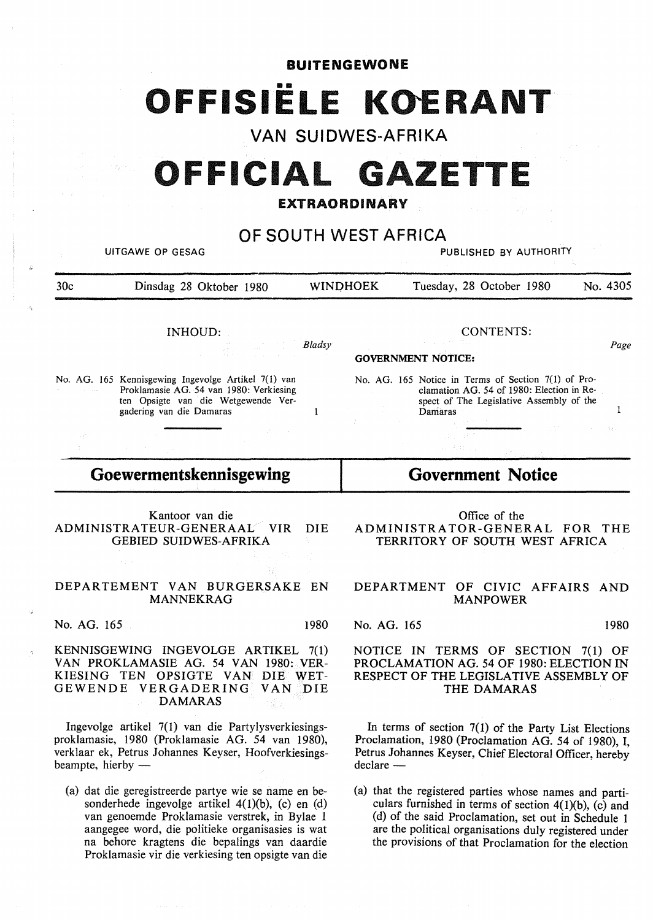**BUITENGEWONE OFFISIËLE KOERANT** 

**VAN SUIDWES-AFRIKA** 

# OFFICIAL GAZETTE

### **EXTRAORDINARY**

**OF SOUTH WEST** AFRICA UITGAWE OP GESAG PUBLISHED BY AUTHORITY 30c Dinsdag 28 Oktober 1980 WINOHOEK Tuesday, 28 October 1980 No. 4305 INHOUD: No. AG. 165 Kennisgewing Ingevolge Artikel 7(1) van Proklamasie **AG.** 54 van 1980: Verkiesing ten Opsigte van die Wetgewende Ver-*Bladsy*  gadering van die Damaras 1 **Goewermentskennisgewing**  Kantoor van die GEBIED SUIDWES-AFRIKA DEPARTEMENT VAN BURGERSAKE EN MANNEKRAG No. AG. 165 1980 CONTENTS: *Page*  **GOVERNMENT NOTICE:**  No. AG. 165 Notice in Terms of Section 7(1) of Proclamation AG. 54 of 1980: Election in Respect of The Legislative Assembly of the Damaras components of the 1 **Government Notice**  Office of the ADMINISTRATOR-GENERAL FOR THE TERRITORY OF SOUTH WEST AFRICA DEPARTMENT OF CIVIC AFFAIRS AND MANPOWER No. AG. 165 1980

## NOTICE IN TERMS OF SECTION 7(1) OF PROCLAMATION AG. 54 OF 1980: ELECTION IN RESPECT OF THE LEGISLATIVE ASSEMBLY OF THE **DAMARAS**

In terms of section  $7(1)$  of the Party List Elections Proclamation, 1980 (Proclamation AG. 54 of 1980), I, Petrus Johannes Keyser, Chief Electoral Officer, hereby declare -

(a) that the registered parties whose names and particulars furnished in terms of section  $4(1)(b)$ , (c) and ( d) of the said Proclamation, set out in Schedule 1 are the political organisations duly registered under the provisions of that Proclamation for the election

ADMINISTRATEUR-GENERAAL VIR DIE

**KENNISGEWING** INGEVOLGE **ARTIKEL** 7(1) **VAN PROKLAMASIE AG.** 54 **VAN 1980: VER-KIESING** TEN OPSIGTE VAN DIE WET-GEWENDE VERGADERING VAN DIE **DAMARAS** 

Ingevolge artikel 7(1) van die Partylysverkiesingsproklamasie, 1980 (Proklamasie AG. 54 van 1980), verklaar ek, Petrus Johannes Keyser, Hoofverkiesingsbeampte, hierby  $-$ 

(a) dat die geregistreerde partye wie se name en besonderhede ingevolge artikel 4(1)(b), (c) en (d) van genoemde Proklamasie verstrek, in Bylae 1 aangegee word, die politieke organisasies is wat na behore kragtens die bepalings van daardie Proklamasie vir die verkiesing ten opsigte van die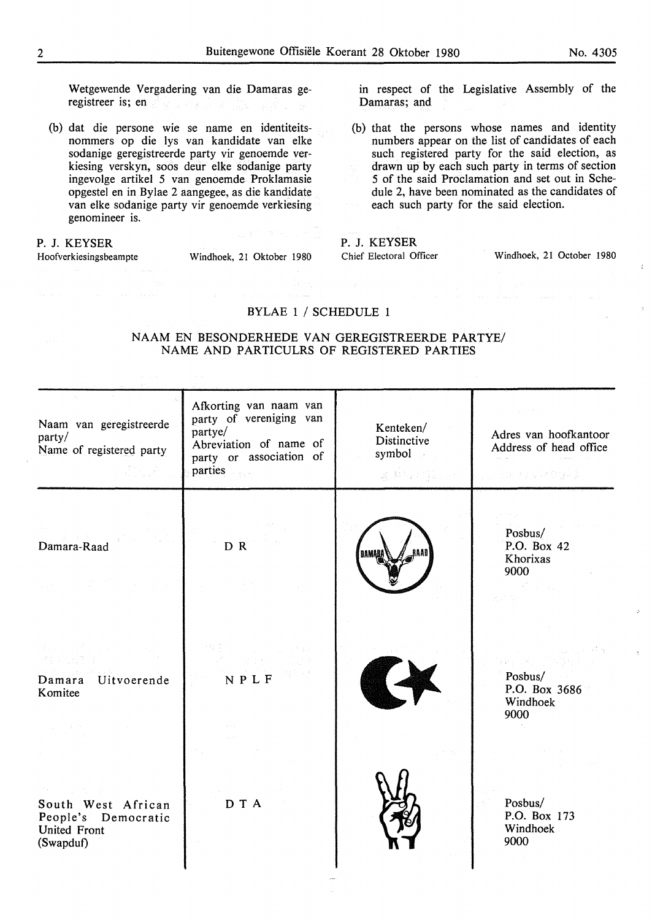Wetgewende Vergadering van die Damaras geregistreer is; en

(b) dat die persone wie se name en identiteitsnommers op die lys van kandidate van elke sodanige geregistreerde party vir genoemde verkiesing verskyn, soos deur elke sodanige party ingevolge artikel 5 van genoemde Proklamasie opgestel en in Bylae 2 aangegee, as die kandidate van elke sodanige party vir genoemde verkiesing genomineer is.

#### **P. J. KEYSER**

Hoofverkiesingsbeampte Windhoek, 21 Oktober 1980

in respect of the Legislative Assembly of the Damaras; and

(b) that the persons whose names and identity numbers appear on the list of candidates of each such registered party for the said election, as drawn up by each such party in terms of section 5 of the said Proclamation and set out in Schedule 2, have been nominated as the candidates of each such party for the said election.

#### **P. J. KEYSER**

Chief Electoral Officer Windhoek, 21 October 1980

#### BYLAE 1 / SCHEDULE 1

NAAM EN BESONDERHEDE VAN GEREGISTREERDE PARTYE/ NAME AND PARTICULRS OF REGISTERED PARTIES

| Naam van geregistreerde<br>party/<br>Name of registered party                         | Afkorting van naam van<br>party of vereniging van<br>partye/<br>Abreviation of name of<br>party or association of<br>parties | Kenteken/<br>Distinctive<br>symbol <sub>c</sub><br>ug Alestinga, ser | Adres van hoofkantoor<br>Address of head office<br>ju nezi za visege ).   |
|---------------------------------------------------------------------------------------|------------------------------------------------------------------------------------------------------------------------------|----------------------------------------------------------------------|---------------------------------------------------------------------------|
| Damara-Raad<br>$\Delta\Delta$ and $\Delta\Delta$                                      | DR.                                                                                                                          | DAMAR                                                                | Posbus/<br>P.O. Box 42<br>Khorixas<br>9000<br>a shi ne shekara<br>2.2.35% |
| 多数 アール・カード おおとこ<br>Damara Uitvoerende<br>Komitee                                      | $N$ P L F                                                                                                                    |                                                                      | 病后的 计内线<br>Posbus/<br>P.O. Box 3686<br>Windhoek<br>9000                   |
| アート・マーク しょう<br>South West African<br>People's Democratic<br>United Front<br>(Swapduf) | D T A                                                                                                                        |                                                                      | Posbus/<br>P.O. Box 173<br>Windhoek<br>9000                               |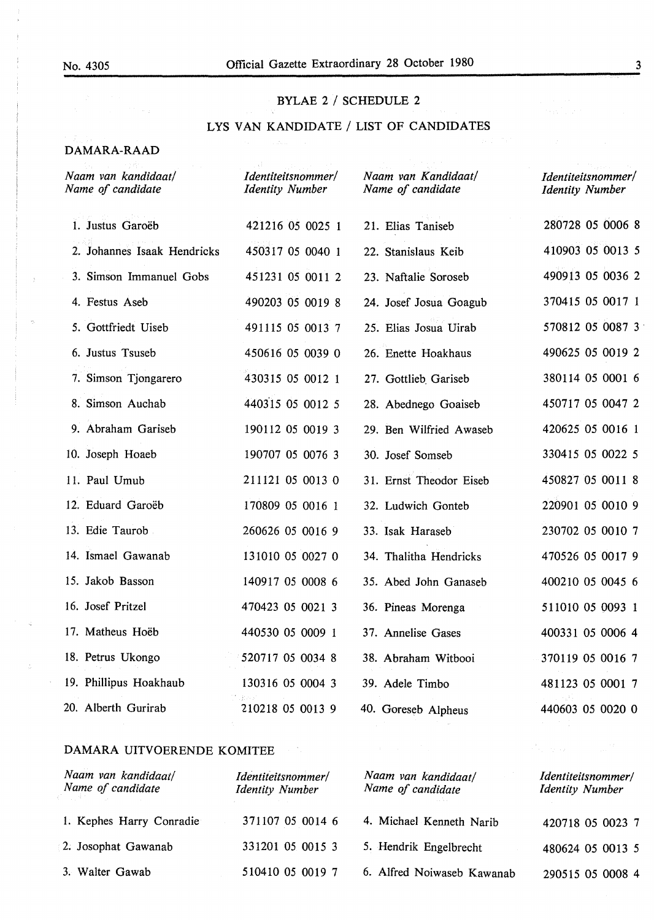#### BYLAE 2 / SCHEDULE 2

### LYS VAN KANDIDATE / LIST OF CANDIDATES

#### DAMARA-RAAD

| Naam van kandidaat/<br>Name of candidate | Identiteitsnommer/<br><b>Identity Number</b> | Naam van Kandidaat/<br>Name of candidate | Identiteitsnommer/<br><b>Identity Number</b> |
|------------------------------------------|----------------------------------------------|------------------------------------------|----------------------------------------------|
| 1. Justus Garoëb                         | 421216 05 0025 1                             | 21. Elias Taniseb                        | 280728 05 0006 8                             |
| 2. Johannes Isaak Hendricks              | 450317 05 0040 1                             | 22. Stanislaus Keib                      | 410903 05 0013 5                             |
| 3. Simson Immanuel Gobs                  | 451231 05 0011 2                             | 23. Naftalie Soroseb                     | 490913 05 0036 2                             |
| 4. Festus Aseb                           | 490203 05 0019 8                             | 24. Josef Josua Goagub                   | 370415 05 0017 1                             |
| 5. Gottfriedt Uiseb                      | 491115 05 0013 7                             | 25. Elias Josua Uirab                    | 570812 05 0087 3                             |
| 6. Justus Tsuseb                         | 450616 05 0039 0                             | 26. Enette Hoakhaus                      | 490625 05 0019 2                             |
| 7. Simson Tjongarero                     | 430315 05 0012 1                             | 27. Gottlieb Gariseb                     | 380114 05 0001 6                             |
| 8. Simson Auchab                         | 440315 05 0012 5                             | 28. Abednego Goaiseb                     | 450717 05 0047 2                             |
| 9. Abraham Gariseb                       | 190112 05 0019 3                             | 29. Ben Wilfried Awaseb                  | 420625 05 0016 1                             |
| 10. Joseph Hoaeb                         | 190707 05 0076 3                             | 30. Josef Somseb                         | 330415 05 0022 5                             |
| 11. Paul Umub                            | 211121 05 0013 0                             | 31. Ernst Theodor Eiseb                  | 450827 05 0011 8                             |
| 12. Eduard Garoëb                        | 170809 05 0016 1                             | 32. Ludwich Gonteb                       | 220901 05 0010 9                             |
| 13. Edie Taurob                          | 260626 05 0016 9                             | 33. Isak Haraseb                         | 230702 05 0010 7                             |
| 14. Ismael Gawanab                       | 131010 05 0027 0                             | 34. Thalitha Hendricks                   | 470526 05 0017 9                             |
| 15. Jakob Basson                         | 140917 05 0008 6                             | 35. Abed John Ganaseb                    | 400210 05 0045 6                             |
| 16. Josef Pritzel                        | 470423 05 0021 3                             | 36. Pineas Morenga                       | 511010 05 0093 1                             |
| 17. Matheus Hoëb                         | 440530 05 0009 1                             | 37. Annelise Gases                       | 400331 05 0006 4                             |
| 18. Petrus Ukongo                        | 520717 05 0034 8                             | 38. Abraham Witbooi                      | 370119 05 0016 7                             |
| 19. Phillipus Hoakhaub                   | 130316 05 0004 3                             | 39. Adele Timbo                          | 481123 05 0001 7                             |
| 20. Alberth Gurirab                      | 210218 05 0013 9                             | 40. Goreseb Alpheus                      | 440603 05 0020 0                             |

#### **DAMARA** UITVOERENDE KOMITEE

| Naam van kandidaat/<br>Name of candidate | Identiteitsnommer/<br><b>Identity Number</b> | Naam van kandidaat/<br>Name of candidate | Identiteitsnommer/<br><b>Identity Number</b> |
|------------------------------------------|----------------------------------------------|------------------------------------------|----------------------------------------------|
| 1. Kephes Harry Conradie                 | 371107 05 0014 6                             | 4. Michael Kenneth Narib                 | 420718 05 0023 7                             |
| 2. Josophat Gawanab                      | 331201 05 0015 3                             | 5. Hendrik Engelbrecht                   | 480624 05 0013 5                             |
| 3. Walter Gawab                          | 510410 05 0019 7                             | 6. Alfred Noiwaseb Kawanab               | 290515 05 0008 4                             |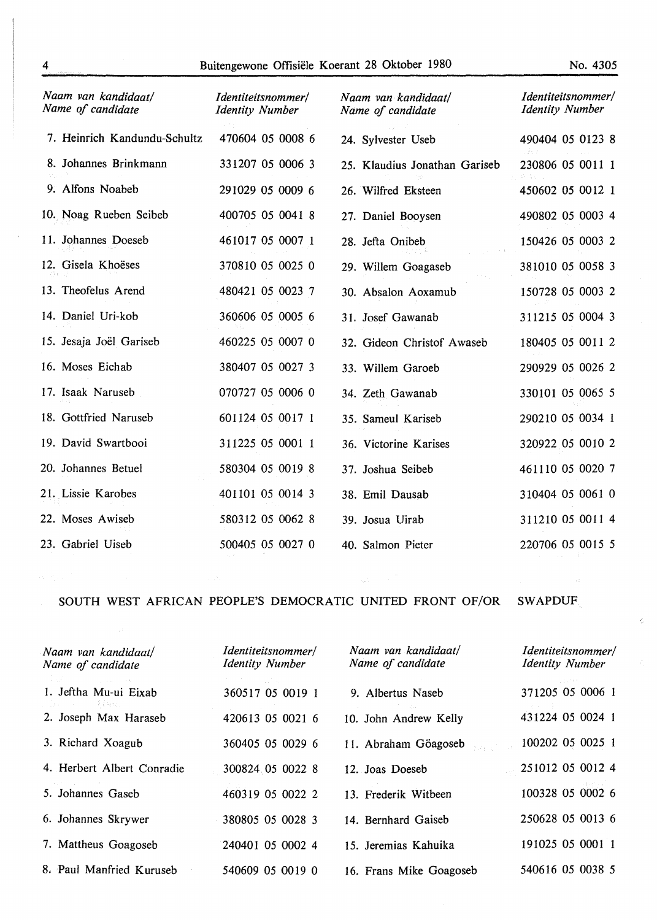| Naam van kandidaat/<br>Name of candidate | <i>Identiteitsnommer/</i><br><b>Identity Number</b> | Naam van kandidaat/<br>Name of candidate | Identiteitsnommer/<br><b>Identity Number</b> |
|------------------------------------------|-----------------------------------------------------|------------------------------------------|----------------------------------------------|
| 7. Heinrich Kandundu-Schultz             | 470604 05 0008 6                                    | 24. Sylvester Useb                       | 490404 05 0123 8                             |
| 8. Johannes Brinkmann                    | 331207 05 0006 3                                    | 25. Klaudius Jonathan Gariseb            | 230806 05 0011 1                             |
| 9. Alfons Noabeb                         | 291029 05 0009 6                                    | 26. Wilfred Eksteen                      | 450602 05 0012 1                             |
| 10. Noag Rueben Seibeb                   | 400705 05 0041 8                                    | 27. Daniel Booysen                       | 490802 05 0003 4                             |
| 11. Johannes Doeseb                      | 461017 05 0007 1                                    | 28. Jefta Onibeb                         | 150426 05 0003 2                             |
| 12. Gisela Khoëses                       | 370810 05 0025 0                                    | 29. Willem Goagaseb                      | 381010 05 0058 3                             |
| 13. Theofelus Arend                      | 480421 05 0023 7                                    | 30. Absalon Aoxamub                      | 150728 05 0003 2                             |
| 14. Daniel Uri-kob                       | 360606 05 0005 6                                    | 31. Josef Gawanab                        | 311215 05 0004 3                             |
| 15. Jesaja Joël Gariseb                  | 460225 05 0007 0                                    | 32. Gideon Christof Awaseb               | 180405 05 0011 2                             |
| 16. Moses Eichab                         | 380407 05 0027 3                                    | 33. Willem Garoeb                        | 290929 05 0026 2                             |
| 17. Isaak Naruseb                        | 070727 05 0006 0                                    | 34. Zeth Gawanab                         | 330101 05 0065 5                             |
| 18. Gottfried Naruseb                    | 601124 05 0017 1                                    | 35. Sameul Kariseb                       | 290210 05 0034 1                             |
| 19. David Swartbooi                      | 311225 05 0001 1                                    | 36. Victorine Karises                    | 320922 05 0010 2                             |
| 20. Johannes Betuel                      | 580304 05 0019 8                                    | 37. Joshua Seibeb                        | 461110 05 0020 7                             |
| 21. Lissie Karobes                       | 401101 05 0014 3                                    | 38. Emil Dausab                          | 310404 05 0061 0                             |
| 22. Moses Awiseb                         | 580312 05 0062 8                                    | 39. Josua Uirab                          | 311210 05 0011 4                             |
| 23. Gabriel Uiseb                        | 500405 05 0027 0                                    | 40. Salmon Pieter                        | 220706 05 0015 5                             |

# SOUTH WEST AFRICAN PEOPLE'S DEMOCRATIC UNITED FRONT OF/OR SWAPDUF

| WAPDI |  |
|-------|--|
|       |  |

 $\bar{\zeta}$ 

 $\frac{\partial}{\partial t}$ 

| Naam van kandidaat/<br>Name of candidate | Identiteitsnommer/<br><b>Identity Number</b> | Naam van kandidaat/<br>Name of candidate | Identiteitsnommer/<br><b>Identity Number</b> |
|------------------------------------------|----------------------------------------------|------------------------------------------|----------------------------------------------|
| a sa shekar<br>1. Jeftha Mu-ui Eixab     | 360517 05 0019 1                             | 9. Albertus Naseb                        | 371205 05 0006 1                             |
| 2. Joseph Max Haraseb                    | 420613 05 0021 6                             | 10. John Andrew Kelly                    | 431224 05 0024 1                             |
| 3. Richard Xoagub                        | 360405 05 0029 6                             | 11. Abraham Göagoseb                     | 100202 05 0025 1                             |
| 4. Herbert Albert Conradie               | 300824.05 0022 8                             | 12. Joas Doeseb                          | 251012 05 0012 4                             |
| 5. Johannes Gaseb                        | 460319 05 0022 2                             | 13. Frederik Witbeen                     | 100328 05 0002 6                             |
| 6. Johannes Skrywer                      | 380805 05 0028 3                             | 14. Bernhard Gaiseb                      | 250628 05 0013 6                             |
| 7. Mattheus Goagoseb                     | 240401 05 0002 4                             | 15. Jeremias Kahuika                     | 191025 05 0001 1                             |
| 8. Paul Manfried Kuruseb                 | 540609 05 0019 0                             | 16. Frans Mike Goagoseb                  | 540616 05 0038 5                             |

 $\omega_{\rm c} \sim e^{i \theta_{\rm c}}$ 

 $\sim$